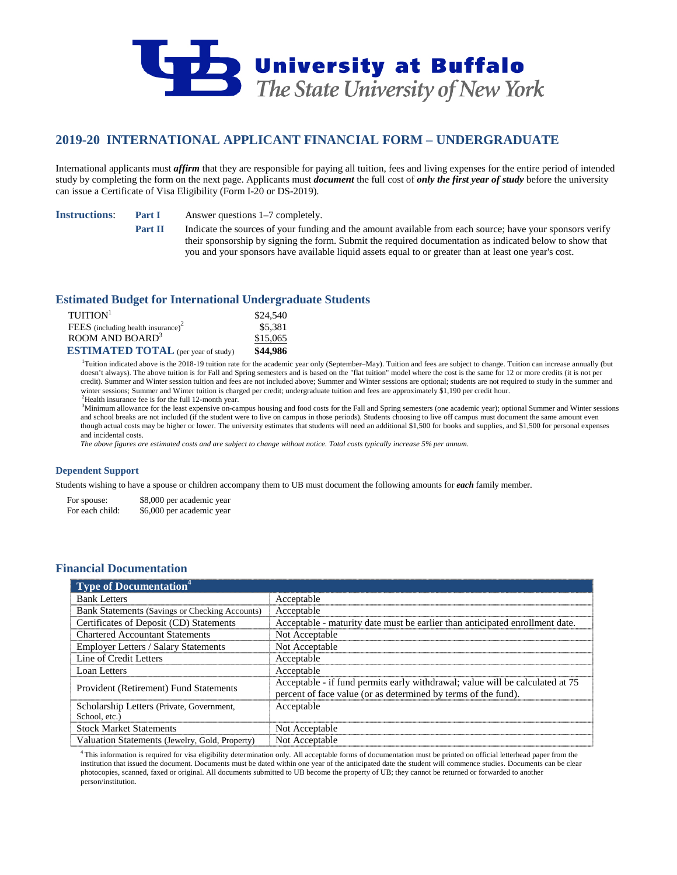

# **2019-20 INTERNATIONAL APPLICANT FINANCIAL FORM – UNDERGRADUATE**

International applicants must *affirm* that they are responsible for paying all tuition, fees and living expenses for the entire period of intended study by completing the form on the next page. Applicants must *document* the full cost of *only the first year of study* before the university can issue a Certificate of Visa Eligibility (Form I-20 or DS-2019).

**Instructions**: **Part I** Answer questions 1–7 completely.

**Part II** Indicate the sources of your funding and the amount available from each source; have your sponsors verify their sponsorship by signing the form. Submit the required documentation as indicated below to show that you and your sponsors have available liquid assets equal to or greater than at least one year's cost.

### **Estimated Budget for International Undergraduate Students**

| $T$ UITION <sup>1</sup>                    | \$24,540 |
|--------------------------------------------|----------|
| FEES (including health insurance) $2$      | \$5,381  |
| ROOM AND BOARD <sup>3</sup>                | \$15,065 |
| <b>ESTIMATED TOTAL</b> (per year of study) | \$44,986 |

<sup>1</sup>Tuition indicated above is the 2018-19 tuition rate for the academic year only (September–May). Tuition and fees are subject to change. Tuition can increase annually (but doesn't always). The above tuition is for Fall and Spring semesters and is based on the "flat tuition" model where the cost is the same for 12 or more credits (it is not per credit). Summer and Winter session tuition and fees are not included above; Summer and Winter sessions are optional; students are not required to study in the summer and winter sessions; Summer and Winter tuition is charged per credit; undergraduate tuition and fees are approximately \$1,190 per credit hour.  $2$ Health insurance fee is for the full 12-month year.

<sup>3</sup>Minimum allowance for the least expensive on-campus housing and food costs for the Fall and Spring semesters (one academic year); optional Summer and Winter sessions and school breaks are not included (if the student were to live on campus in those periods). Students choosing to live off campus must document the same amount even though actual costs may be higher or lower. The university estimates that students will need an additional \$1,500 for books and supplies, and \$1,500 for personal expenses and incidental costs.

*The above figures are estimated costs and are subject to change without notice. Total costs typically increase 5% per annum.*

### **Dependent Support**

Students wishing to have a spouse or children accompany them to UB must document the following amounts for *each* family member.

For spouse: \$8,000 per academic year<br>For each child: \$6,000 per academic year \$6,000 per academic year

## **Financial Documentation**

| $\overline{1}$ Type of Documentation <sup>4</sup> |                                                                               |
|---------------------------------------------------|-------------------------------------------------------------------------------|
| <b>Bank Letters</b>                               | Acceptable                                                                    |
| Bank Statements (Savings or Checking Accounts)    | Acceptable                                                                    |
| Certificates of Deposit (CD) Statements           | Acceptable - maturity date must be earlier than anticipated enrollment date.  |
| <b>Chartered Accountant Statements</b>            | Not Acceptable                                                                |
| <b>Employer Letters / Salary Statements</b>       | Not Acceptable                                                                |
| Line of Credit Letters                            | Acceptable                                                                    |
| Loan Letters                                      | Acceptable                                                                    |
| Provident (Retirement) Fund Statements            | Acceptable - if fund permits early withdrawal; value will be calculated at 75 |
|                                                   | percent of face value (or as determined by terms of the fund).                |
| Scholarship Letters (Private, Government,         | Acceptable                                                                    |
| School, etc.)                                     |                                                                               |
| <b>Stock Market Statements</b>                    | Not Acceptable                                                                |
| Valuation Statements (Jewelry, Gold, Property)    | Not Acceptable                                                                |

4 This information is required for visa eligibility determination only. All acceptable forms of documentation must be printed on official letterhead paper from the institution that issued the document. Documents must be dated within one year of the anticipated date the student will commence studies. Documents can be clear photocopies, scanned, faxed or original. All documents submitted to UB become the property of UB; they cannot be returned or forwarded to another person/institution.